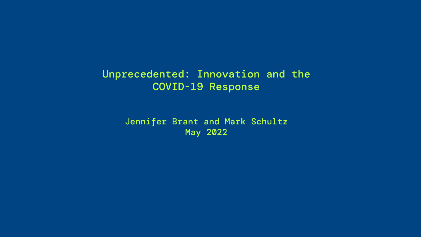# Unprecedented: Innovation and the COVID-19 Response

Jennifer Brant and Mark Schultz May 2022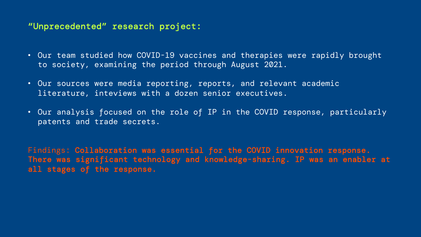### "Unprecedented" research project:

- Our team studied how COVID-19 vaccines and therapies were rapidly brought to society, examining the period through August 2021.
- Our sources were media reporting, reports, and relevant academic literature, inteviews with a dozen senior executives.
- Our analysis focused on the role of IP in the COVID response, particularly patents and trade secrets.

Findings: Collaboration was essential for the COVID innovation response. There was significant technology and knowledge-sharing. IP was an enabler at all stages of the response.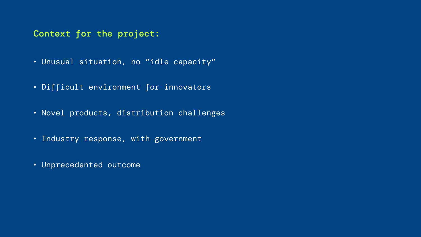## Context for the project:

- Unusual situation, no "idle capacity"
- Difficult environment for innovators
- Novel products, distribution challenges
- Industry response, with government
- Unprecedented outcome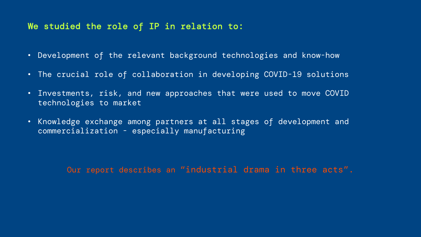### We studied the role of IP in relation to:

- Development of the relevant background technologies and know-how
- The crucial role of collaboration in developing COVID-19 solutions
- Investments, risk, and new approaches that were used to move COVID technologies to market
- Knowledge exchange among partners at all stages of development and commercialization - especially manufacturing

Our report describes an "industrial drama in three acts".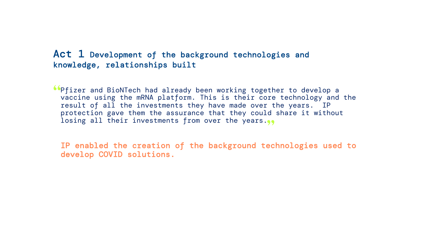#### Act 1 Development of the background technologies and knowledge, relationships built

**Continguileer** and BioNTech had already been working together to develop a vaccine using the mRNA platform. This is their core technology and vaccine using the mRNA platform. This is their core technology and the result of all the investments they have made over the years. IP protection gave them the assurance that they could share it without losing all their investments from over the years.<br>•••

IP enabled the creation of the background technologies used to develop COVID solutions.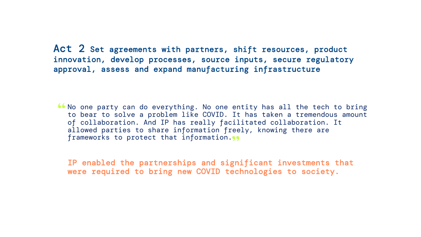Act 2 Set agreements with partners, shift resources, product innovation, develop processes, source inputs, secure regulatory approval, assess and expand manufacturing infrastructure

We one party can do everything. No one entity has all the tech to bring<br>to bear to solve a problem like COVID. It has taken a tremendous amount to bear to solve a problem like COVID. It has taken a tremendous amount of collaboration. And IP has really facilitated collaboration. It allowed parties to share information freely, knowing there are frameworks to protect that information.<sub>39</sub>

IP enabled the partnerships and significant investments that were required to bring new COVID technologies to society.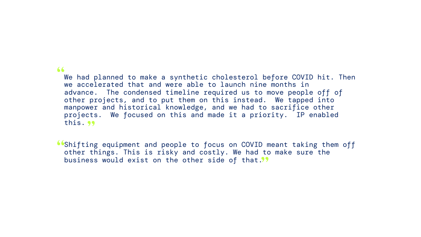#### "

We had planned to make a synthetic cholesterol before COVID hit. Then we accelerated that and were able to launch nine months in advance. The condensed timeline required us to move people off of other projects, and to put them on this instead. We tapped into manpower and historical knowledge, and we had to sacrifice other projects. We focused on this and made it a priority. IP enabled this. <mark>99</mark>

**Shifting equipment and people to focus on COVID meant taking them off** other things. This is risky and costly. We had to make sure the other things. This is risky and costly. We had to make sure the business would exist on the other side of that.<sup>99</sup><br>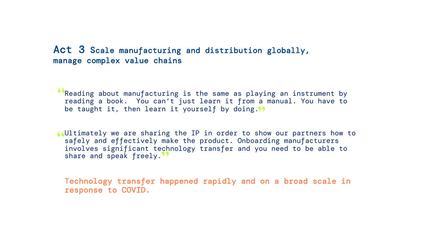### Act 3 Scale manufacturing and distribution globally, manage complex value chains

**C**Reading about manufacturing is the same as playing an instrument by reading a book. You can't just learn it from a manual. You have to reading a book. You can't just learn it from a manual. You have to be taught it, then learn it yourself by doing."<br>

Ultimately we are sharing the IP in order to show our partners how to " safely and effectively make the product. Onboarding manufacturers involves significant technology transfer and you need to be able to share and speak freely."

Technology transfer happened rapidly and on a broad scale in response to COVID.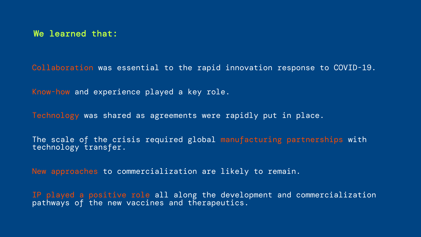Collaboration was essential to the rapid innovation response to COVID-19.

Know-how and experience played a key role.

Technology was shared as agreements were rapidly put in place.

The scale of the crisis required global manufacturing partnerships with technology transfer.

New approaches to commercialization are likely to remain.

IP played a positive role all along the development and commercialization pathways of the new vaccines and therapeutics.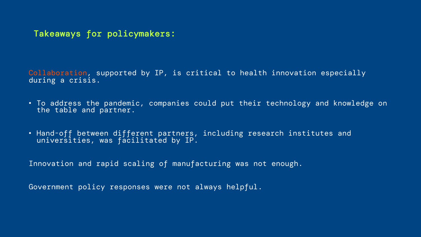Takeaways for policymakers:

Collaboration, supported by IP, is critical to health innovation especially during a crisis.

- To address the pandemic, companies could put their technology and knowledge on the table and partner.
- Hand-off between different partners, including research institutes and universities, was facilitated by IP.

Innovation and rapid scaling of manufacturing was not enough.

Government policy responses were not always helpful.